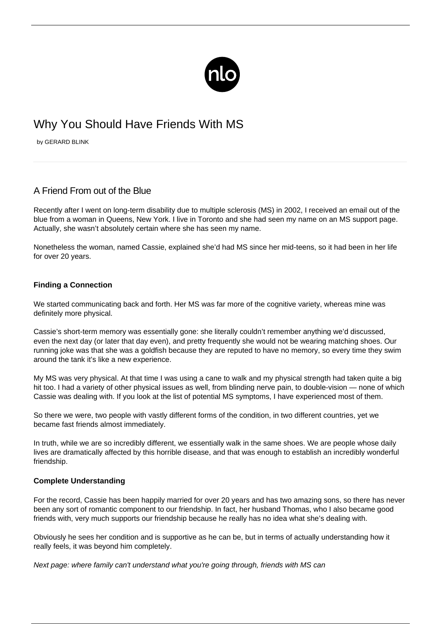

# Why You Should Have Friends With MS

by GERARD BLINK

## A Friend From out of the Blue

Recently after I went on long-term disability due to multiple sclerosis (MS) in 2002, I received an email out of the blue from a woman in Queens, New York. I live in Toronto and she had seen my name on an MS support page. Actually, she wasn't absolutely certain where she has seen my name.

Nonetheless the woman, named Cassie, explained she'd had MS since her mid-teens, so it had been in her life for over 20 years.

#### **Finding a Connection**

We started communicating back and forth. Her MS was far more of the cognitive variety, whereas mine was definitely more physical.

Cassie's [short-term memory](/ms-memory-loss/) was essentially gone: she literally couldn't remember anything we'd discussed, even the next day (or later that day even), and pretty frequently she would not be wearing matching shoes. Our running joke was that she was a goldfish because they are reputed to have no memory, so every time they swim around the tank it's like a new experience.

My MS was very physical. At that time I was using a cane to walk and my physical strength had taken quite a big hit too. I had a variety of other physical issues as well, from blinding nerve pain, to double-vision — none of which Cassie was dealing with. If you look at the list of potential MS symptoms, I have experienced most of them.

So there we were, two people with vastly different forms of the condition, in two different countries, yet we became fast friends almost immediately.

In truth, while we are so incredibly different, we essentially walk in the same shoes. We are people whose daily lives are dramatically affected by this horrible disease, and that was enough to establish an incredibly wonderful friendship.

#### **Complete Understanding**

For the record, Cassie has been happily married for over 20 years and has two amazing sons, so there has never been any sort of romantic component to our friendship. In fact, her husband Thomas, who I also became good friends with, very much supports our friendship because he really has no idea what she's dealing with.

Obviously he sees her condition and is supportive as he can be, but in terms of actually understanding how it really feels, it was beyond him completely.

Next page: where family can't understand what you're going through, friends with MS can